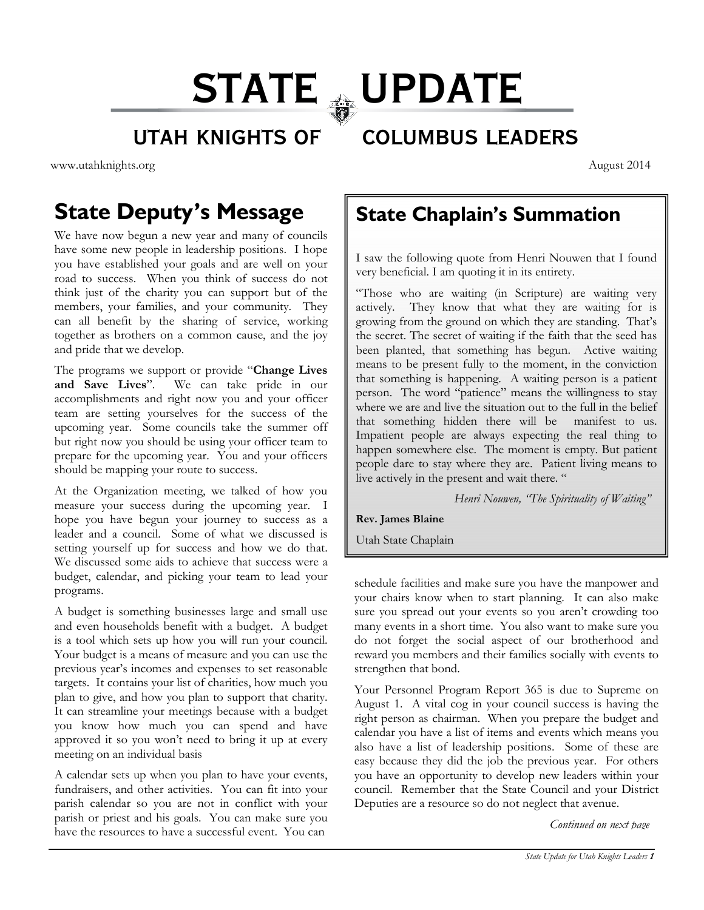# STATE WPDATE

#### UTAH KNIGHTS OF COLUMBUS LEADERS

www.utahknights.org August 2014

### **State Deputy's Message**

We have now begun a new year and many of councils have some new people in leadership positions. I hope you have established your goals and are well on your road to success. When you think of success do not think just of the charity you can support but of the members, your families, and your community. They can all benefit by the sharing of service, working together as brothers on a common cause, and the joy and pride that we develop.

The programs we support or provide "**Change Lives and Save Lives**". We can take pride in our accomplishments and right now you and your officer team are setting yourselves for the success of the upcoming year. Some councils take the summer off but right now you should be using your officer team to prepare for the upcoming year. You and your officers should be mapping your route to success.

At the Organization meeting, we talked of how you measure your success during the upcoming year. I hope you have begun your journey to success as a leader and a council. Some of what we discussed is setting yourself up for success and how we do that. We discussed some aids to achieve that success were a budget, calendar, and picking your team to lead your programs.

A budget is something businesses large and small use and even households benefit with a budget. A budget is a tool which sets up how you will run your council. Your budget is a means of measure and you can use the previous year's incomes and expenses to set reasonable targets. It contains your list of charities, how much you plan to give, and how you plan to support that charity. It can streamline your meetings because with a budget you know how much you can spend and have approved it so you won't need to bring it up at every meeting on an individual basis

A calendar sets up when you plan to have your events, fundraisers, and other activities. You can fit into your parish calendar so you are not in conflict with your parish or priest and his goals. You can make sure you have the resources to have a successful event. You can

**State Chaplain's Summation** 

I saw the following quote from Henri Nouwen that I found very beneficial. I am quoting it in its entirety.

"Those who are waiting (in Scripture) are waiting very actively. They know that what they are waiting for is growing from the ground on which they are standing. That's the secret. The secret of waiting if the faith that the seed has been planted, that something has begun. Active waiting means to be present fully to the moment, in the conviction that something is happening. A waiting person is a patient person. The word "patience" means the willingness to stay where we are and live the situation out to the full in the belief that something hidden there will be manifest to us. Impatient people are always expecting the real thing to happen somewhere else. The moment is empty. But patient people dare to stay where they are. Patient living means to live actively in the present and wait there. "

*Henri Nouwen, "The Spirituality of Waiting"* 

**Rev. James Blaine** 

Utah State Chaplain

schedule facilities and make sure you have the manpower and your chairs know when to start planning. It can also make sure you spread out your events so you aren't crowding too many events in a short time. You also want to make sure you do not forget the social aspect of our brotherhood and reward you members and their families socially with events to strengthen that bond.

Your Personnel Program Report 365 is due to Supreme on August 1. A vital cog in your council success is having the right person as chairman. When you prepare the budget and calendar you have a list of items and events which means you also have a list of leadership positions. Some of these are easy because they did the job the previous year. For others you have an opportunity to develop new leaders within your council. Remember that the State Council and your District Deputies are a resource so do not neglect that avenue.

*Continued on next page*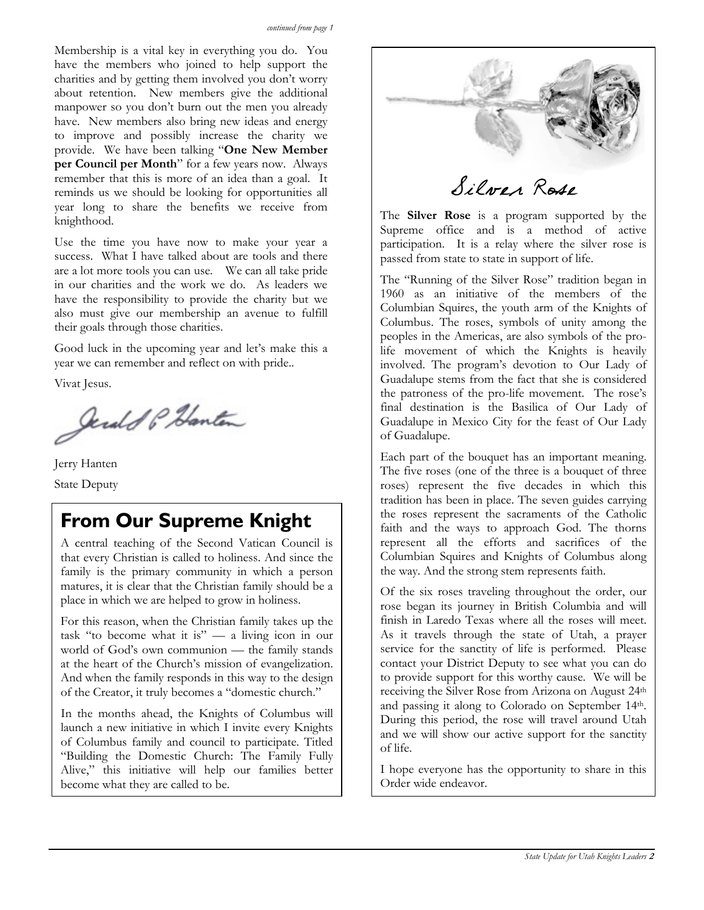Membership is a vital key in everything you do. You have the members who joined to help support the charities and by getting them involved you don't worry about retention. New members give the additional manpower so you don't burn out the men you already have. New members also bring new ideas and energy to improve and possibly increase the charity we provide. We have been talking "**One New Member per Council per Month**" for a few years now. Always remember that this is more of an idea than a goal. It reminds us we should be looking for opportunities all year long to share the benefits we receive from knighthood.

Use the time you have now to make your year a success. What I have talked about are tools and there are a lot more tools you can use. We can all take pride in our charities and the work we do. As leaders we have the responsibility to provide the charity but we also must give our membership an avenue to fulfill their goals through those charities.

Good luck in the upcoming year and let's make this a year we can remember and reflect on with pride..

Vivat Jesus.

Jerald P. Hanton

 Jerry Hanten State Deputy

#### **From Our Supreme Knight**

A central teaching of the Second Vatican Council is that every Christian is called to holiness. And since the family is the primary community in which a person matures, it is clear that the Christian family should be a place in which we are helped to grow in holiness.

For this reason, when the Christian family takes up the task "to become what it is" — a living icon in our world of God's own communion — the family stands at the heart of the Church's mission of evangelization. And when the family responds in this way to the design of the Creator, it truly becomes a "domestic church."

In the months ahead, the Knights of Columbus will launch a new initiative in which I invite every Knights of Columbus family and council to participate. Titled "Building the Domestic Church: The Family Fully Alive," this initiative will help our families better become what they are called to be.



Silver Rose

The **Silver Rose** is a program supported by the Supreme office and is a method of active participation. It is a relay where the silver rose is passed from state to state in support of life.

The "Running of the Silver Rose" tradition began in 1960 as an initiative of the members of the Columbian Squires, the youth arm of the Knights of Columbus. The roses, symbols of unity among the peoples in the Americas, are also symbols of the prolife movement of which the Knights is heavily involved. The program's devotion to Our Lady of Guadalupe stems from the fact that she is considered the patroness of the pro-life movement. The rose's final destination is the Basilica of Our Lady of Guadalupe in Mexico City for the feast of Our Lady of Guadalupe.

Each part of the bouquet has an important meaning. The five roses (one of the three is a bouquet of three roses) represent the five decades in which this tradition has been in place. The seven guides carrying the roses represent the sacraments of the Catholic faith and the ways to approach God. The thorns represent all the efforts and sacrifices of the Columbian Squires and Knights of Columbus along the way. And the strong stem represents faith.

Of the six roses traveling throughout the order, our rose began its journey in British Columbia and will finish in Laredo Texas where all the roses will meet. As it travels through the state of Utah, a prayer service for the sanctity of life is performed. Please contact your District Deputy to see what you can do to provide support for this worthy cause. We will be receiving the Silver Rose from Arizona on August 24th and passing it along to Colorado on September 14th. During this period, the rose will travel around Utah and we will show our active support for the sanctity of life.

I hope everyone has the opportunity to share in this Order wide endeavor.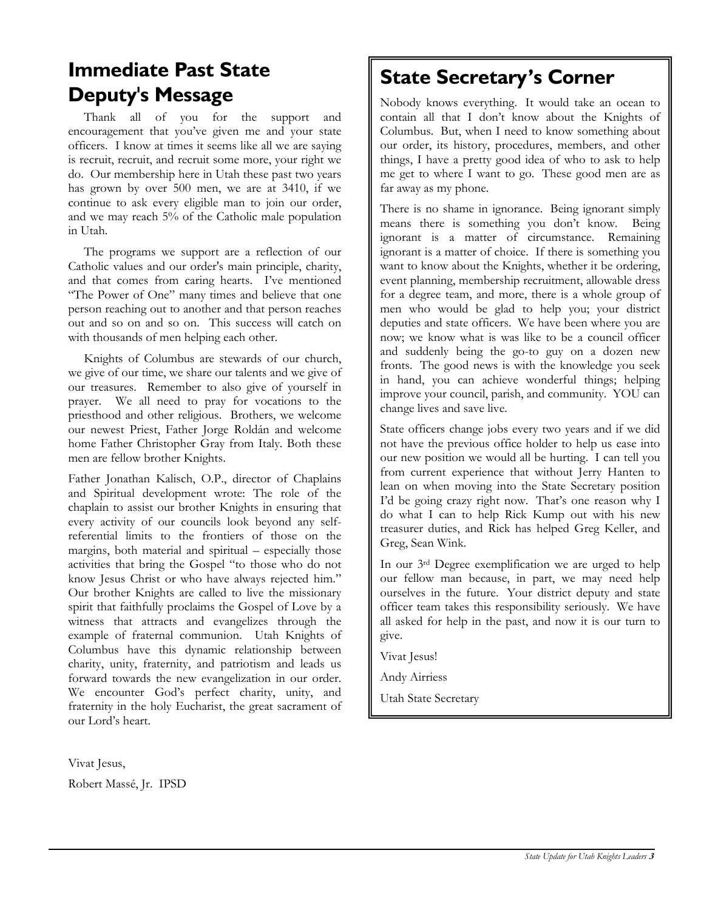#### **Immediate Past State Deputy's Message**

 Thank all of you for the support and encouragement that you've given me and your state officers. I know at times it seems like all we are saying is recruit, recruit, and recruit some more, your right we do. Our membership here in Utah these past two years has grown by over 500 men, we are at 3410, if we continue to ask every eligible man to join our order, and we may reach 5% of the Catholic male population in Utah.

 The programs we support are a reflection of our Catholic values and our order's main principle, charity, and that comes from caring hearts. I've mentioned "The Power of One" many times and believe that one person reaching out to another and that person reaches out and so on and so on. This success will catch on with thousands of men helping each other.

 Knights of Columbus are stewards of our church, we give of our time, we share our talents and we give of our treasures. Remember to also give of yourself in prayer. We all need to pray for vocations to the priesthood and other religious. Brothers, we welcome our newest Priest, Father Jorge Roldán and welcome home Father Christopher Gray from Italy. Both these men are fellow brother Knights.

Father Jonathan Kalisch, O.P., director of Chaplains and Spiritual development wrote: The role of the chaplain to assist our brother Knights in ensuring that every activity of our councils look beyond any selfreferential limits to the frontiers of those on the margins, both material and spiritual – especially those activities that bring the Gospel "to those who do not know Jesus Christ or who have always rejected him." Our brother Knights are called to live the missionary spirit that faithfully proclaims the Gospel of Love by a witness that attracts and evangelizes through the example of fraternal communion. Utah Knights of Columbus have this dynamic relationship between charity, unity, fraternity, and patriotism and leads us forward towards the new evangelization in our order. We encounter God's perfect charity, unity, and fraternity in the holy Eucharist, the great sacrament of our Lord's heart.

Vivat Jesus, Robert Massé, Jr. IPSD

#### **State Secretary's Corner**

Nobody knows everything. It would take an ocean to contain all that I don't know about the Knights of Columbus. But, when I need to know something about our order, its history, procedures, members, and other things, I have a pretty good idea of who to ask to help me get to where I want to go. These good men are as far away as my phone.

There is no shame in ignorance. Being ignorant simply means there is something you don't know. Being ignorant is a matter of circumstance. Remaining ignorant is a matter of choice. If there is something you want to know about the Knights, whether it be ordering, event planning, membership recruitment, allowable dress for a degree team, and more, there is a whole group of men who would be glad to help you; your district deputies and state officers. We have been where you are now; we know what is was like to be a council officer and suddenly being the go-to guy on a dozen new fronts. The good news is with the knowledge you seek in hand, you can achieve wonderful things; helping improve your council, parish, and community. YOU can change lives and save live.

State officers change jobs every two years and if we did not have the previous office holder to help us ease into our new position we would all be hurting. I can tell you from current experience that without Jerry Hanten to lean on when moving into the State Secretary position I'd be going crazy right now. That's one reason why I do what I can to help Rick Kump out with his new treasurer duties, and Rick has helped Greg Keller, and Greg, Sean Wink.

In our 3rd Degree exemplification we are urged to help our fellow man because, in part, we may need help ourselves in the future. Your district deputy and state officer team takes this responsibility seriously. We have all asked for help in the past, and now it is our turn to give.

Vivat Jesus!

Andy Airriess

Utah State Secretary